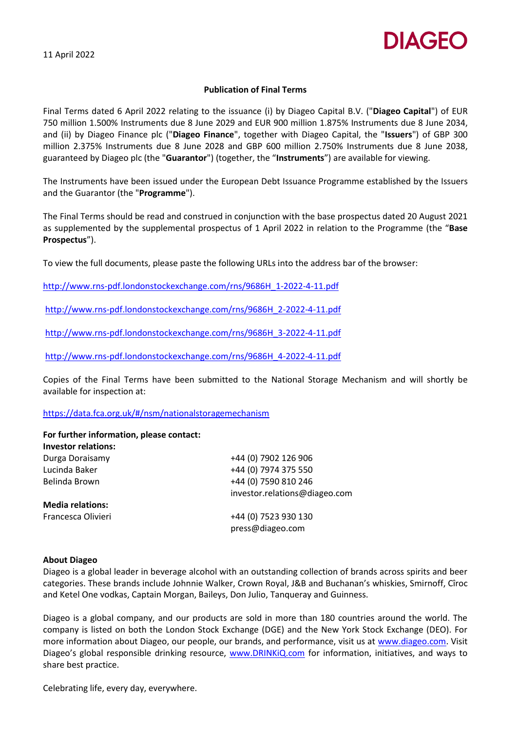11 April 2022



## **Publication of Final Terms**

Final Terms dated 6 April 2022 relating to the issuance (i) by Diageo Capital B.V. ("**Diageo Capital**") of EUR 750 million 1.500% Instruments due 8 June 2029 and EUR 900 million 1.875% Instruments due 8 June 2034, and (ii) by Diageo Finance plc ("**Diageo Finance**", together with Diageo Capital, the "**Issuers**") of GBP 300 million 2.375% Instruments due 8 June 2028 and GBP 600 million 2.750% Instruments due 8 June 2038, guaranteed by Diageo plc (the "**Guarantor**") (together, the "**Instruments**") are available for viewing.

The Instruments have been issued under the European Debt Issuance Programme established by the Issuers and the Guarantor (the "**Programme**").

The Final Terms should be read and construed in conjunction with the base prospectus dated 20 August 2021 as supplemented by the supplemental prospectus of 1 April 2022 in relation to the Programme (the "**Base Prospectus**").

To view the full documents, please paste the following URLs into the address bar of the browser:

[http://www.rns-pdf.londonstockexchange.com/rns/9686H\\_1-2022-4-11.pdf](http://www.rns-pdf.londonstockexchange.com/rns/9686H_1-2022-4-11.pdf)

[http://www.rns-pdf.londonstockexchange.com/rns/9686H\\_2-2022-4-11.pdf](http://www.rns-pdf.londonstockexchange.com/rns/9686H_2-2022-4-11.pdf)

[http://www.rns-pdf.londonstockexchange.com/rns/9686H\\_3-2022-4-11.pdf](http://www.rns-pdf.londonstockexchange.com/rns/9686H_3-2022-4-11.pdf)

[http://www.rns-pdf.londonstockexchange.com/rns/9686H\\_4-2022-4-11.pdf](http://www.rns-pdf.londonstockexchange.com/rns/9686H_4-2022-4-11.pdf)

Copies of the Final Terms have been submitted to the National Storage Mechanism and will shortly be available for inspection at:

## <https://data.fca.org.uk/#/nsm/nationalstoragemechanism>

| For further information, please contact: |                               |
|------------------------------------------|-------------------------------|
| <b>Investor relations:</b>               |                               |
| Durga Doraisamy                          | +44 (0) 7902 126 906          |
| Lucinda Baker                            | +44 (0) 7974 375 550          |
| Belinda Brown                            | +44 (0) 7590 810 246          |
|                                          | investor.relations@diageo.com |
| <b>Media relations:</b>                  |                               |
| Francesca Olivieri                       | +44 (0) 7523 930 130          |
|                                          | press@diageo.com              |

### **About Diageo**

Diageo is a global leader in beverage alcohol with an outstanding collection of brands across spirits and beer categories. These brands include Johnnie Walker, Crown Royal, J&B and Buchanan's whiskies, Smirnoff, Cîroc and Ketel One vodkas, Captain Morgan, Baileys, Don Julio, Tanqueray and Guinness.

Diageo is a global company, and our products are sold in more than 180 countries around the world. The company is listed on both the London Stock Exchange (DGE) and the New York Stock Exchange (DEO). For more information about Diageo, our people, our brands, and performance, visit us at www.diageo.com. Visit Diageo's global responsible drinking resource, www.DRINKiQ.com for information, initiatives, and ways to share best practice.

Celebrating life, every day, everywhere.